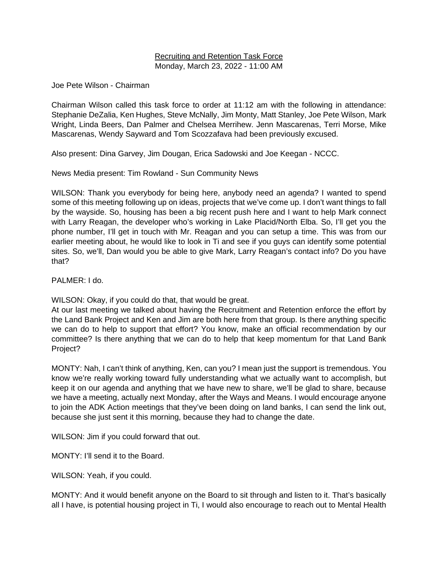## Recruiting and Retention Task Force Monday, March 23, 2022 - 11:00 AM

Joe Pete Wilson - Chairman

Chairman Wilson called this task force to order at 11:12 am with the following in attendance: Stephanie DeZalia, Ken Hughes, Steve McNally, Jim Monty, Matt Stanley, Joe Pete Wilson, Mark Wright, Linda Beers, Dan Palmer and Chelsea Merrihew. Jenn Mascarenas, Terri Morse, Mike Mascarenas, Wendy Sayward and Tom Scozzafava had been previously excused.

Also present: Dina Garvey, Jim Dougan, Erica Sadowski and Joe Keegan - NCCC.

News Media present: Tim Rowland - Sun Community News

WILSON: Thank you everybody for being here, anybody need an agenda? I wanted to spend some of this meeting following up on ideas, projects that we've come up. I don't want things to fall by the wayside. So, housing has been a big recent push here and I want to help Mark connect with Larry Reagan, the developer who's working in Lake Placid/North Elba. So, I'll get you the phone number, I'll get in touch with Mr. Reagan and you can setup a time. This was from our earlier meeting about, he would like to look in Ti and see if you guys can identify some potential sites. So, we'll, Dan would you be able to give Mark, Larry Reagan's contact info? Do you have that?

PALMER: I do.

WILSON: Okay, if you could do that, that would be great.

At our last meeting we talked about having the Recruitment and Retention enforce the effort by the Land Bank Project and Ken and Jim are both here from that group. Is there anything specific we can do to help to support that effort? You know, make an official recommendation by our committee? Is there anything that we can do to help that keep momentum for that Land Bank Project?

MONTY: Nah, I can't think of anything, Ken, can you? I mean just the support is tremendous. You know we're really working toward fully understanding what we actually want to accomplish, but keep it on our agenda and anything that we have new to share, we'll be glad to share, because we have a meeting, actually next Monday, after the Ways and Means. I would encourage anyone to join the ADK Action meetings that they've been doing on land banks, I can send the link out, because she just sent it this morning, because they had to change the date.

WILSON: Jim if you could forward that out.

MONTY: I'll send it to the Board.

WILSON: Yeah, if you could.

MONTY: And it would benefit anyone on the Board to sit through and listen to it. That's basically all I have, is potential housing project in Ti, I would also encourage to reach out to Mental Health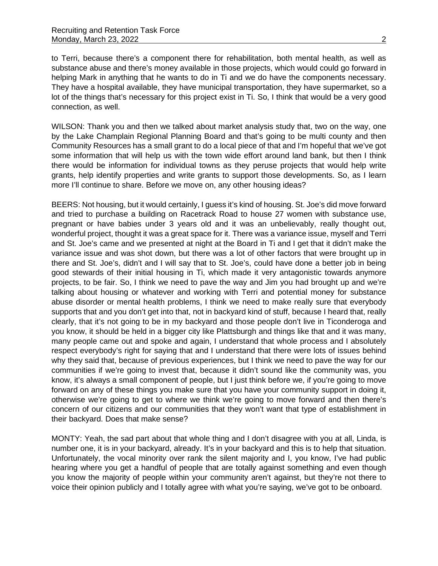to Terri, because there's a component there for rehabilitation, both mental health, as well as substance abuse and there's money available in those projects, which would could go forward in helping Mark in anything that he wants to do in Ti and we do have the components necessary. They have a hospital available, they have municipal transportation, they have supermarket, so a lot of the things that's necessary for this project exist in Ti. So, I think that would be a very good connection, as well.

WILSON: Thank you and then we talked about market analysis study that, two on the way, one by the Lake Champlain Regional Planning Board and that's going to be multi county and then Community Resources has a small grant to do a local piece of that and I'm hopeful that we've got some information that will help us with the town wide effort around land bank, but then I think there would be information for individual towns as they peruse projects that would help write grants, help identify properties and write grants to support those developments. So, as I learn more I'll continue to share. Before we move on, any other housing ideas?

BEERS: Not housing, but it would certainly, I guess it's kind of housing. St. Joe's did move forward and tried to purchase a building on Racetrack Road to house 27 women with substance use, pregnant or have babies under 3 years old and it was an unbelievably, really thought out, wonderful project, thought it was a great space for it. There was a variance issue, myself and Terri and St. Joe's came and we presented at night at the Board in Ti and I get that it didn't make the variance issue and was shot down, but there was a lot of other factors that were brought up in there and St. Joe's, didn't and I will say that to St. Joe's, could have done a better job in being good stewards of their initial housing in Ti, which made it very antagonistic towards anymore projects, to be fair. So, I think we need to pave the way and Jim you had brought up and we're talking about housing or whatever and working with Terri and potential money for substance abuse disorder or mental health problems, I think we need to make really sure that everybody supports that and you don't get into that, not in backyard kind of stuff, because I heard that, really clearly, that it's not going to be in my backyard and those people don't live in Ticonderoga and you know, it should be held in a bigger city like Plattsburgh and things like that and it was many, many people came out and spoke and again, I understand that whole process and I absolutely respect everybody's right for saying that and I understand that there were lots of issues behind why they said that, because of previous experiences, but I think we need to pave the way for our communities if we're going to invest that, because it didn't sound like the community was, you know, it's always a small component of people, but I just think before we, if you're going to move forward on any of these things you make sure that you have your community support in doing it, otherwise we're going to get to where we think we're going to move forward and then there's concern of our citizens and our communities that they won't want that type of establishment in their backyard. Does that make sense?

MONTY: Yeah, the sad part about that whole thing and I don't disagree with you at all, Linda, is number one, it is in your backyard, already. It's in your backyard and this is to help that situation. Unfortunately, the vocal minority over rank the silent majority and I, you know, I've had public hearing where you get a handful of people that are totally against something and even though you know the majority of people within your community aren't against, but they're not there to voice their opinion publicly and I totally agree with what you're saying, we've got to be onboard.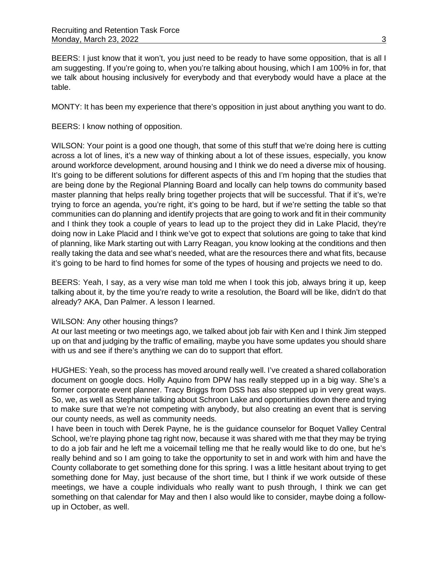BEERS: I just know that it won't, you just need to be ready to have some opposition, that is all I am suggesting. If you're going to, when you're talking about housing, which I am 100% in for, that we talk about housing inclusively for everybody and that everybody would have a place at the table.

MONTY: It has been my experience that there's opposition in just about anything you want to do.

BEERS: I know nothing of opposition.

WILSON: Your point is a good one though, that some of this stuff that we're doing here is cutting across a lot of lines, it's a new way of thinking about a lot of these issues, especially, you know around workforce development, around housing and I think we do need a diverse mix of housing. It's going to be different solutions for different aspects of this and I'm hoping that the studies that are being done by the Regional Planning Board and locally can help towns do community based master planning that helps really bring together projects that will be successful. That if it's, we're trying to force an agenda, you're right, it's going to be hard, but if we're setting the table so that communities can do planning and identify projects that are going to work and fit in their community and I think they took a couple of years to lead up to the project they did in Lake Placid, they're doing now in Lake Placid and I think we've got to expect that solutions are going to take that kind of planning, like Mark starting out with Larry Reagan, you know looking at the conditions and then really taking the data and see what's needed, what are the resources there and what fits, because it's going to be hard to find homes for some of the types of housing and projects we need to do.

BEERS: Yeah, I say, as a very wise man told me when I took this job, always bring it up, keep talking about it, by the time you're ready to write a resolution, the Board will be like, didn't do that already? AKA, Dan Palmer. A lesson I learned.

### WILSON: Any other housing things?

At our last meeting or two meetings ago, we talked about job fair with Ken and I think Jim stepped up on that and judging by the traffic of emailing, maybe you have some updates you should share with us and see if there's anything we can do to support that effort.

HUGHES: Yeah, so the process has moved around really well. I've created a shared collaboration document on google docs. Holly Aquino from DPW has really stepped up in a big way. She's a former corporate event planner. Tracy Briggs from DSS has also stepped up in very great ways. So, we, as well as Stephanie talking about Schroon Lake and opportunities down there and trying to make sure that we're not competing with anybody, but also creating an event that is serving our county needs, as well as community needs.

I have been in touch with Derek Payne, he is the guidance counselor for Boquet Valley Central School, we're playing phone tag right now, because it was shared with me that they may be trying to do a job fair and he left me a voicemail telling me that he really would like to do one, but he's really behind and so I am going to take the opportunity to set in and work with him and have the County collaborate to get something done for this spring. I was a little hesitant about trying to get something done for May, just because of the short time, but I think if we work outside of these meetings, we have a couple individuals who really want to push through, I think we can get something on that calendar for May and then I also would like to consider, maybe doing a followup in October, as well.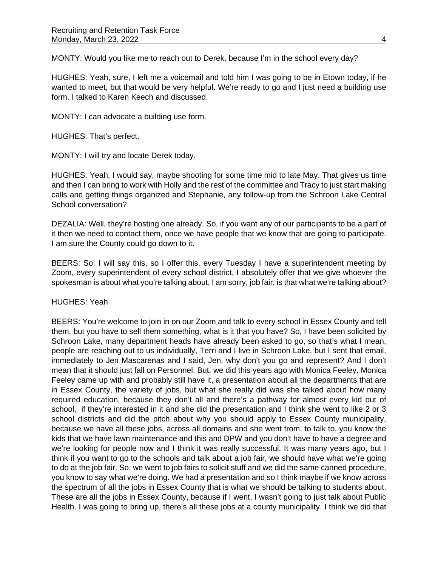MONTY: Would you like me to reach out to Derek, because I'm in the school every day?

HUGHES: Yeah, sure, I left me a voicemail and told him I was going to be in Etown today, if he wanted to meet, but that would be very helpful. We're ready to go and I just need a building use form. I talked to Karen Keech and discussed.

MONTY: I can advocate a building use form.

HUGHES: That's perfect.

MONTY: I will try and locate Derek today.

HUGHES: Yeah, I would say, maybe shooting for some time mid to late May. That gives us time and then I can bring to work with Holly and the rest of the committee and Tracy to just start making calls and getting things organized and Stephanie, any follow-up from the Schroon Lake Central School conversation?

DEZALIA: Well, they're hosting one already. So, if you want any of our participants to be a part of it then we need to contact them, once we have people that we know that are going to participate. I am sure the County could go down to it.

BEERS: So, I will say this, so I offer this, every Tuesday I have a superintendent meeting by Zoom, every superintendent of every school district, I absolutely offer that we give whoever the spokesman is about what you're talking about, I am sorry, job fair, is that what we're talking about?

HUGHES: Yeah

BEERS: You're welcome to join in on our Zoom and talk to every school in Essex County and tell them, but you have to sell them something, what is it that you have? So, I have been solicited by Schroon Lake, many department heads have already been asked to go, so that's what I mean, people are reaching out to us individually, Terri and I live in Schroon Lake, but I sent that email, immediately to Jen Mascarenas and I said, Jen, why don't you go and represent? And I don't mean that it should just fall on Personnel. But, we did this years ago with Monica Feeley. Monica Feeley came up with and probably still have it, a presentation about all the departments that are in Essex County, the variety of jobs, but what she really did was she talked about how many required education, because they don't all and there's a pathway for almost every kid out of school, if they're interested in it and she did the presentation and I think she went to like 2 or 3 school districts and did the pitch about why you should apply to Essex County municipality, because we have all these jobs, across all domains and she went from, to talk to, you know the kids that we have lawn maintenance and this and DPW and you don't have to have a degree and we're looking for people now and I think it was really successful. It was many years ago, but I think if you want to go to the schools and talk about a job fair, we should have what we're going to do at the job fair. So, we went to job fairs to solicit stuff and we did the same canned procedure, you know to say what we're doing. We had a presentation and so I think maybe if we know across the spectrum of all the jobs in Essex County that is what we should be talking to students about. These are all the jobs in Essex County, because if I went, I wasn't going to just talk about Public Health. I was going to bring up, there's all these jobs at a county municipality. I think we did that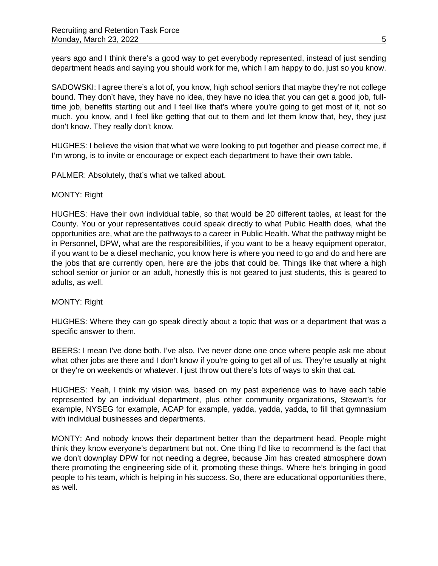years ago and I think there's a good way to get everybody represented, instead of just sending department heads and saying you should work for me, which I am happy to do, just so you know.

SADOWSKI: I agree there's a lot of, you know, high school seniors that maybe they're not college bound. They don't have, they have no idea, they have no idea that you can get a good job, fulltime job, benefits starting out and I feel like that's where you're going to get most of it, not so much, you know, and I feel like getting that out to them and let them know that, hey, they just don't know. They really don't know.

HUGHES: I believe the vision that what we were looking to put together and please correct me, if I'm wrong, is to invite or encourage or expect each department to have their own table.

PALMER: Absolutely, that's what we talked about.

### MONTY: Right

HUGHES: Have their own individual table, so that would be 20 different tables, at least for the County. You or your representatives could speak directly to what Public Health does, what the opportunities are, what are the pathways to a career in Public Health. What the pathway might be in Personnel, DPW, what are the responsibilities, if you want to be a heavy equipment operator, if you want to be a diesel mechanic, you know here is where you need to go and do and here are the jobs that are currently open, here are the jobs that could be. Things like that where a high school senior or junior or an adult, honestly this is not geared to just students, this is geared to adults, as well.

## MONTY: Right

HUGHES: Where they can go speak directly about a topic that was or a department that was a specific answer to them.

BEERS: I mean I've done both. I've also, I've never done one once where people ask me about what other jobs are there and I don't know if you're going to get all of us. They're usually at night or they're on weekends or whatever. I just throw out there's lots of ways to skin that cat.

HUGHES: Yeah, I think my vision was, based on my past experience was to have each table represented by an individual department, plus other community organizations, Stewart's for example, NYSEG for example, ACAP for example, yadda, yadda, yadda, to fill that gymnasium with individual businesses and departments.

MONTY: And nobody knows their department better than the department head. People might think they know everyone's department but not. One thing I'd like to recommend is the fact that we don't downplay DPW for not needing a degree, because Jim has created atmosphere down there promoting the engineering side of it, promoting these things. Where he's bringing in good people to his team, which is helping in his success. So, there are educational opportunities there, as well.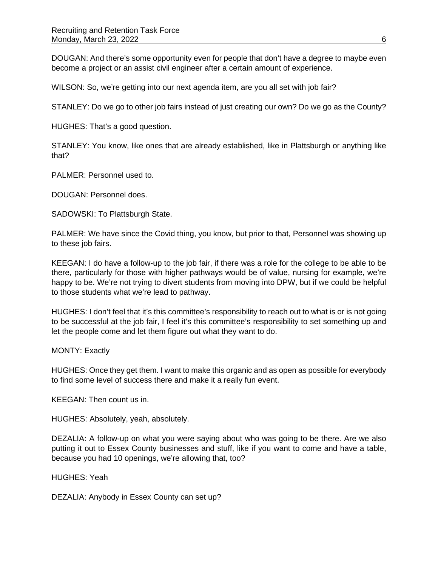DOUGAN: And there's some opportunity even for people that don't have a degree to maybe even become a project or an assist civil engineer after a certain amount of experience.

WILSON: So, we're getting into our next agenda item, are you all set with job fair?

STANLEY: Do we go to other job fairs instead of just creating our own? Do we go as the County?

HUGHES: That's a good question.

STANLEY: You know, like ones that are already established, like in Plattsburgh or anything like that?

PALMER: Personnel used to.

DOUGAN: Personnel does.

SADOWSKI: To Plattsburgh State.

PALMER: We have since the Covid thing, you know, but prior to that, Personnel was showing up to these job fairs.

KEEGAN: I do have a follow-up to the job fair, if there was a role for the college to be able to be there, particularly for those with higher pathways would be of value, nursing for example, we're happy to be. We're not trying to divert students from moving into DPW, but if we could be helpful to those students what we're lead to pathway.

HUGHES: I don't feel that it's this committee's responsibility to reach out to what is or is not going to be successful at the job fair, I feel it's this committee's responsibility to set something up and let the people come and let them figure out what they want to do.

MONTY: Exactly

HUGHES: Once they get them. I want to make this organic and as open as possible for everybody to find some level of success there and make it a really fun event.

KEEGAN: Then count us in.

HUGHES: Absolutely, yeah, absolutely.

DEZALIA: A follow-up on what you were saying about who was going to be there. Are we also putting it out to Essex County businesses and stuff, like if you want to come and have a table, because you had 10 openings, we're allowing that, too?

HUGHES: Yeah

DEZALIA: Anybody in Essex County can set up?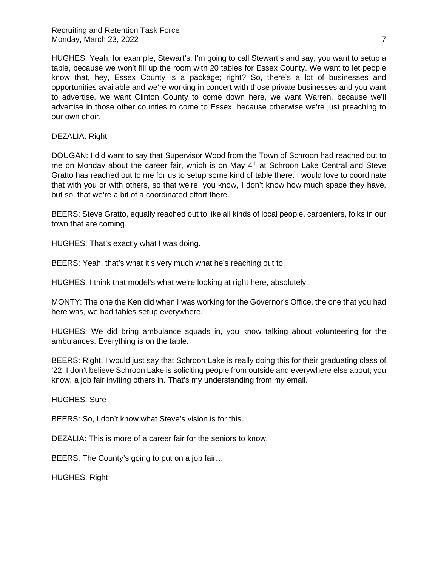HUGHES: Yeah, for example, Stewart's. I'm going to call Stewart's and say, you want to setup a table, because we won't fill up the room with 20 tables for Essex County. We want to let people know that, hey, Essex County is a package; right? So, there's a lot of businesses and opportunities available and we're working in concert with those private businesses and you want to advertise, we want Clinton County to come down here, we want Warren, because we'll advertise in those other counties to come to Essex, because otherwise we're just preaching to our own choir.

DEZALIA: Right

DOUGAN: I did want to say that Supervisor Wood from the Town of Schroon had reached out to me on Monday about the career fair, which is on May 4<sup>th</sup> at Schroon Lake Central and Steve Gratto has reached out to me for us to setup some kind of table there. I would love to coordinate that with you or with others, so that we're, you know, I don't know how much space they have, but so, that we're a bit of a coordinated effort there.

BEERS: Steve Gratto, equally reached out to like all kinds of local people, carpenters, folks in our town that are coming.

HUGHES: That's exactly what I was doing.

BEERS: Yeah, that's what it's very much what he's reaching out to.

HUGHES: I think that model's what we're looking at right here, absolutely.

MONTY: The one the Ken did when I was working for the Governor's Office, the one that you had here was, we had tables setup everywhere.

HUGHES: We did bring ambulance squads in, you know talking about volunteering for the ambulances. Everything is on the table.

BEERS: Right, I would just say that Schroon Lake is really doing this for their graduating class of '22. I don't believe Schroon Lake is soliciting people from outside and everywhere else about, you know, a job fair inviting others in. That's my understanding from my email.

HUGHES: Sure

BEERS: So, I don't know what Steve's vision is for this.

DEZALIA: This is more of a career fair for the seniors to know.

BEERS: The County's going to put on a job fair…

HUGHES: Right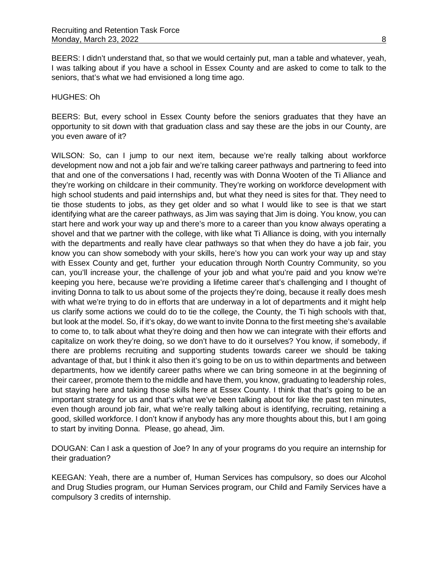BEERS: I didn't understand that, so that we would certainly put, man a table and whatever, yeah, I was talking about if you have a school in Essex County and are asked to come to talk to the seniors, that's what we had envisioned a long time ago.

### HUGHES: Oh

BEERS: But, every school in Essex County before the seniors graduates that they have an opportunity to sit down with that graduation class and say these are the jobs in our County, are you even aware of it?

WILSON: So, can I jump to our next item, because we're really talking about workforce development now and not a job fair and we're talking career pathways and partnering to feed into that and one of the conversations I had, recently was with Donna Wooten of the Ti Alliance and they're working on childcare in their community. They're working on workforce development with high school students and paid internships and, but what they need is sites for that. They need to tie those students to jobs, as they get older and so what I would like to see is that we start identifying what are the career pathways, as Jim was saying that Jim is doing. You know, you can start here and work your way up and there's more to a career than you know always operating a shovel and that we partner with the college, with like what Ti Alliance is doing, with you internally with the departments and really have clear pathways so that when they do have a job fair, you know you can show somebody with your skills, here's how you can work your way up and stay with Essex County and get, further your education through North Country Community, so you can, you'll increase your, the challenge of your job and what you're paid and you know we're keeping you here, because we're providing a lifetime career that's challenging and I thought of inviting Donna to talk to us about some of the projects they're doing, because it really does mesh with what we're trying to do in efforts that are underway in a lot of departments and it might help us clarify some actions we could do to tie the college, the County, the Ti high schools with that, but look at the model. So, if it's okay, do we want to invite Donna to the first meeting she's available to come to, to talk about what they're doing and then how we can integrate with their efforts and capitalize on work they're doing, so we don't have to do it ourselves? You know, if somebody, if there are problems recruiting and supporting students towards career we should be taking advantage of that, but I think it also then it's going to be on us to within departments and between departments, how we identify career paths where we can bring someone in at the beginning of their career, promote them to the middle and have them, you know, graduating to leadership roles, but staying here and taking those skills here at Essex County. I think that that's going to be an important strategy for us and that's what we've been talking about for like the past ten minutes, even though around job fair, what we're really talking about is identifying, recruiting, retaining a good, skilled workforce. I don't know if anybody has any more thoughts about this, but I am going to start by inviting Donna. Please, go ahead, Jim.

DOUGAN: Can I ask a question of Joe? In any of your programs do you require an internship for their graduation?

KEEGAN: Yeah, there are a number of, Human Services has compulsory, so does our Alcohol and Drug Studies program, our Human Services program, our Child and Family Services have a compulsory 3 credits of internship.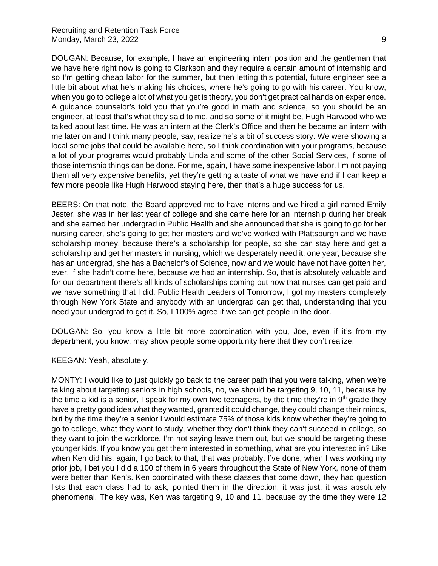DOUGAN: Because, for example, I have an engineering intern position and the gentleman that we have here right now is going to Clarkson and they require a certain amount of internship and so I'm getting cheap labor for the summer, but then letting this potential, future engineer see a little bit about what he's making his choices, where he's going to go with his career. You know, when you go to college a lot of what you get is theory, you don't get practical hands on experience. A guidance counselor's told you that you're good in math and science, so you should be an engineer, at least that's what they said to me, and so some of it might be, Hugh Harwood who we talked about last time. He was an intern at the Clerk's Office and then he became an intern with me later on and I think many people, say, realize he's a bit of success story. We were showing a local some jobs that could be available here, so I think coordination with your programs, because a lot of your programs would probably Linda and some of the other Social Services, if some of those internship things can be done. For me, again, I have some inexpensive labor, I'm not paying them all very expensive benefits, yet they're getting a taste of what we have and if I can keep a few more people like Hugh Harwood staying here, then that's a huge success for us.

BEERS: On that note, the Board approved me to have interns and we hired a girl named Emily Jester, she was in her last year of college and she came here for an internship during her break and she earned her undergrad in Public Health and she announced that she is going to go for her nursing career, she's going to get her masters and we've worked with Plattsburgh and we have scholarship money, because there's a scholarship for people, so she can stay here and get a scholarship and get her masters in nursing, which we desperately need it, one year, because she has an undergrad, she has a Bachelor's of Science, now and we would have not have gotten her, ever, if she hadn't come here, because we had an internship. So, that is absolutely valuable and for our department there's all kinds of scholarships coming out now that nurses can get paid and we have something that I did, Public Health Leaders of Tomorrow, I got my masters completely through New York State and anybody with an undergrad can get that, understanding that you need your undergrad to get it. So, I 100% agree if we can get people in the door.

DOUGAN: So, you know a little bit more coordination with you, Joe, even if it's from my department, you know, may show people some opportunity here that they don't realize.

KEEGAN: Yeah, absolutely.

MONTY: I would like to just quickly go back to the career path that you were talking, when we're talking about targeting seniors in high schools, no, we should be targeting 9, 10, 11, because by the time a kid is a senior, I speak for my own two teenagers, by the time they're in  $9<sup>th</sup>$  grade they have a pretty good idea what they wanted, granted it could change, they could change their minds, but by the time they're a senior I would estimate 75% of those kids know whether they're going to go to college, what they want to study, whether they don't think they can't succeed in college, so they want to join the workforce. I'm not saying leave them out, but we should be targeting these younger kids. If you know you get them interested in something, what are you interested in? Like when Ken did his, again, I go back to that, that was probably, I've done, when I was working my prior job, I bet you I did a 100 of them in 6 years throughout the State of New York, none of them were better than Ken's. Ken coordinated with these classes that come down, they had question lists that each class had to ask, pointed them in the direction, it was just, it was absolutely phenomenal. The key was, Ken was targeting 9, 10 and 11, because by the time they were 12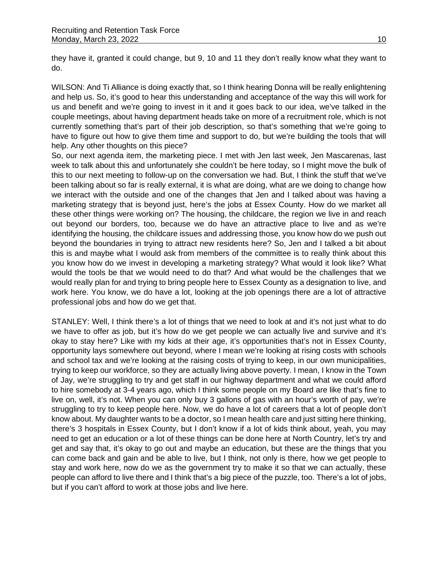they have it, granted it could change, but 9, 10 and 11 they don't really know what they want to do.

WILSON: And Ti Alliance is doing exactly that, so I think hearing Donna will be really enlightening and help us. So, it's good to hear this understanding and acceptance of the way this will work for us and benefit and we're going to invest in it and it goes back to our idea, we've talked in the couple meetings, about having department heads take on more of a recruitment role, which is not currently something that's part of their job description, so that's something that we're going to have to figure out how to give them time and support to do, but we're building the tools that will help. Any other thoughts on this piece?

So, our next agenda item, the marketing piece. I met with Jen last week, Jen Mascarenas, last week to talk about this and unfortunately she couldn't be here today, so I might move the bulk of this to our next meeting to follow-up on the conversation we had. But, I think the stuff that we've been talking about so far is really external, it is what are doing, what are we doing to change how we interact with the outside and one of the changes that Jen and I talked about was having a marketing strategy that is beyond just, here's the jobs at Essex County. How do we market all these other things were working on? The housing, the childcare, the region we live in and reach out beyond our borders, too, because we do have an attractive place to live and as we're identifying the housing, the childcare issues and addressing those, you know how do we push out beyond the boundaries in trying to attract new residents here? So, Jen and I talked a bit about this is and maybe what I would ask from members of the committee is to really think about this you know how do we invest in developing a marketing strategy? What would it look like? What would the tools be that we would need to do that? And what would be the challenges that we would really plan for and trying to bring people here to Essex County as a designation to live, and work here. You know, we do have a lot, looking at the job openings there are a lot of attractive professional jobs and how do we get that.

STANLEY: Well, I think there's a lot of things that we need to look at and it's not just what to do we have to offer as job, but it's how do we get people we can actually live and survive and it's okay to stay here? Like with my kids at their age, it's opportunities that's not in Essex County, opportunity lays somewhere out beyond, where I mean we're looking at rising costs with schools and school tax and we're looking at the raising costs of trying to keep, in our own municipalities, trying to keep our workforce, so they are actually living above poverty. I mean, I know in the Town of Jay, we're struggling to try and get staff in our highway department and what we could afford to hire somebody at 3-4 years ago, which I think some people on my Board are like that's fine to live on, well, it's not. When you can only buy 3 gallons of gas with an hour's worth of pay, we're struggling to try to keep people here. Now, we do have a lot of careers that a lot of people don't know about. My daughter wants to be a doctor, so I mean health care and just sitting here thinking, there's 3 hospitals in Essex County, but I don't know if a lot of kids think about, yeah, you may need to get an education or a lot of these things can be done here at North Country, let's try and get and say that, it's okay to go out and maybe an education, but these are the things that you can come back and gain and be able to live, but I think, not only is there, how we get people to stay and work here, now do we as the government try to make it so that we can actually, these people can afford to live there and I think that's a big piece of the puzzle, too. There's a lot of jobs, but if you can't afford to work at those jobs and live here.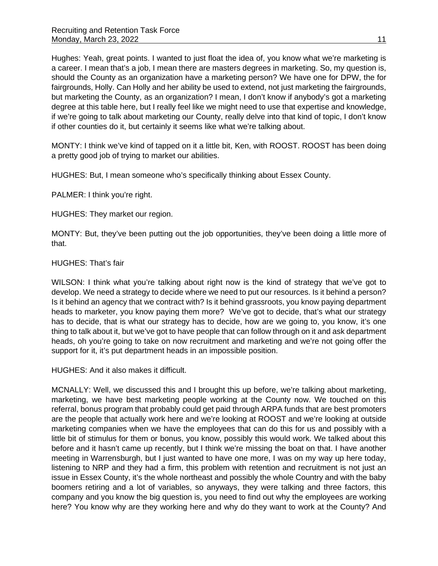Hughes: Yeah, great points. I wanted to just float the idea of, you know what we're marketing is a career. I mean that's a job, I mean there are masters degrees in marketing. So, my question is, should the County as an organization have a marketing person? We have one for DPW, the for fairgrounds, Holly. Can Holly and her ability be used to extend, not just marketing the fairgrounds, but marketing the County, as an organization? I mean, I don't know if anybody's got a marketing degree at this table here, but I really feel like we might need to use that expertise and knowledge, if we're going to talk about marketing our County, really delve into that kind of topic, I don't know if other counties do it, but certainly it seems like what we're talking about.

MONTY: I think we've kind of tapped on it a little bit, Ken, with ROOST. ROOST has been doing a pretty good job of trying to market our abilities.

HUGHES: But, I mean someone who's specifically thinking about Essex County.

PALMER: I think you're right.

HUGHES: They market our region.

MONTY: But, they've been putting out the job opportunities, they've been doing a little more of that.

## HUGHES: That's fair

WILSON: I think what you're talking about right now is the kind of strategy that we've got to develop. We need a strategy to decide where we need to put our resources. Is it behind a person? Is it behind an agency that we contract with? Is it behind grassroots, you know paying department heads to marketer, you know paying them more? We've got to decide, that's what our strategy has to decide, that is what our strategy has to decide, how are we going to, you know, it's one thing to talk about it, but we've got to have people that can follow through on it and ask department heads, oh you're going to take on now recruitment and marketing and we're not going offer the support for it, it's put department heads in an impossible position.

HUGHES: And it also makes it difficult.

MCNALLY: Well, we discussed this and I brought this up before, we're talking about marketing, marketing, we have best marketing people working at the County now. We touched on this referral, bonus program that probably could get paid through ARPA funds that are best promoters are the people that actually work here and we're looking at ROOST and we're looking at outside marketing companies when we have the employees that can do this for us and possibly with a little bit of stimulus for them or bonus, you know, possibly this would work. We talked about this before and it hasn't came up recently, but I think we're missing the boat on that. I have another meeting in Warrensburgh, but I just wanted to have one more, I was on my way up here today, listening to NRP and they had a firm, this problem with retention and recruitment is not just an issue in Essex County, it's the whole northeast and possibly the whole Country and with the baby boomers retiring and a lot of variables, so anyways, they were talking and three factors, this company and you know the big question is, you need to find out why the employees are working here? You know why are they working here and why do they want to work at the County? And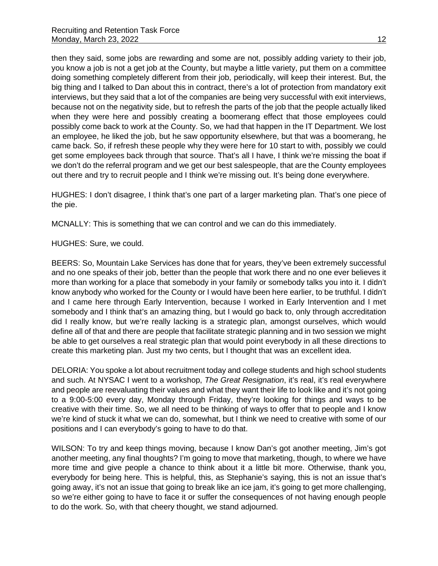then they said, some jobs are rewarding and some are not, possibly adding variety to their job, you know a job is not a get job at the County, but maybe a little variety, put them on a committee doing something completely different from their job, periodically, will keep their interest. But, the big thing and I talked to Dan about this in contract, there's a lot of protection from mandatory exit interviews, but they said that a lot of the companies are being very successful with exit interviews, because not on the negativity side, but to refresh the parts of the job that the people actually liked when they were here and possibly creating a boomerang effect that those employees could possibly come back to work at the County. So, we had that happen in the IT Department. We lost an employee, he liked the job, but he saw opportunity elsewhere, but that was a boomerang, he came back. So, if refresh these people why they were here for 10 start to with, possibly we could get some employees back through that source. That's all I have, I think we're missing the boat if we don't do the referral program and we get our best salespeople, that are the County employees out there and try to recruit people and I think we're missing out. It's being done everywhere.

HUGHES: I don't disagree, I think that's one part of a larger marketing plan. That's one piece of the pie.

MCNALLY: This is something that we can control and we can do this immediately.

HUGHES: Sure, we could.

BEERS: So, Mountain Lake Services has done that for years, they've been extremely successful and no one speaks of their job, better than the people that work there and no one ever believes it more than working for a place that somebody in your family or somebody talks you into it. I didn't know anybody who worked for the County or I would have been here earlier, to be truthful. I didn't and I came here through Early Intervention, because I worked in Early Intervention and I met somebody and I think that's an amazing thing, but I would go back to, only through accreditation did I really know, but we're really lacking is a strategic plan, amongst ourselves, which would define all of that and there are people that facilitate strategic planning and in two session we might be able to get ourselves a real strategic plan that would point everybody in all these directions to create this marketing plan. Just my two cents, but I thought that was an excellent idea.

DELORIA: You spoke a lot about recruitment today and college students and high school students and such. At NYSAC I went to a workshop, *The Great Resignation*, it's real, it's real everywhere and people are reevaluating their values and what they want their life to look like and it's not going to a 9:00-5:00 every day, Monday through Friday, they're looking for things and ways to be creative with their time. So, we all need to be thinking of ways to offer that to people and I know we're kind of stuck it what we can do, somewhat, but I think we need to creative with some of our positions and I can everybody's going to have to do that.

WILSON: To try and keep things moving, because I know Dan's got another meeting, Jim's got another meeting, any final thoughts? I'm going to move that marketing, though, to where we have more time and give people a chance to think about it a little bit more. Otherwise, thank you, everybody for being here. This is helpful, this, as Stephanie's saying, this is not an issue that's going away, it's not an issue that going to break like an ice jam, it's going to get more challenging, so we're either going to have to face it or suffer the consequences of not having enough people to do the work. So, with that cheery thought, we stand adjourned.